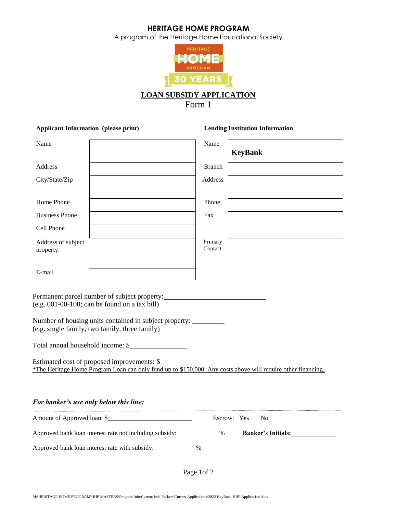A program of the Heritage Home Educational Society



Form 1

# **Applicant Information (please print) Lending Institution Information** Name Name Name **KeyBank** Address **Branch** City/State/Zip Address Home Phone Phone Phone Business Phone Fax Cell Phone Address of subject property: Primary **Contact** E-mail Permanent parcel number of subject property: (e.g. 001-00-100; can be found on a tax bill) Number of housing units contained in subject property: \_\_\_\_\_\_\_\_\_ (e.g. single family, two family, three family) Total annual household income: \$\_\_\_\_\_\_\_\_\_\_\_\_\_\_\_\_ Estimated cost of proposed improvements: \$ \*The Heritage Home Program Loan can only fund up to \$150,000. Any costs above will require other financing. *For banker's use only below this line:* Amount of Approved loan: \$\_\_\_\_\_\_\_\_\_\_\_\_\_\_\_\_\_\_\_\_\_\_\_\_\_\_ Escrow: Yes No Approved bank loan interest rate not including subsidy: % **Banker's Initials:**

Approved bank loan interest rate with subsidy: \_\_\_\_\_\_\_\_\_\_\_ %

Page 1of 2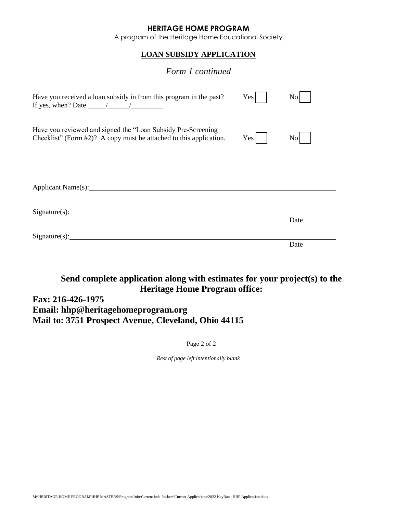A program of the Heritage Home Educational Society

# **LOAN SUBSIDY APPLICATION**

# *Form 1 continued*

| Have you received a loan subsidy in from this program in the past?<br>If yes, when? Date $\_\_\_\_\_\_\_\_\_\_\_\_\_\_\_\_\_\_\_\_\_\_\_\_\_\_\_$ | Yes | No               |
|---------------------------------------------------------------------------------------------------------------------------------------------------|-----|------------------|
| Have you reviewed and signed the "Loan Subsidy Pre-Screening<br>Checklist" (Form #2)? A copy must be attached to this application.                | Yes | $\overline{N_0}$ |
|                                                                                                                                                   |     |                  |
| $Sigma(x):$ Signature(s):                                                                                                                         |     | Date             |
| $Sigma(x):$ Signature(s): $\qquad \qquad$                                                                                                         |     | Date             |

# **Send complete application along with estimates for your project(s) to the Heritage Home Program office:**

# **Fax: 216-426-1975 Email: hhp@heritagehomeprogram.org Mail to: 3751 Prospect Avenue, Cleveland, Ohio 44115**

Page 2 of 2

*Rest of page left intentionally blank*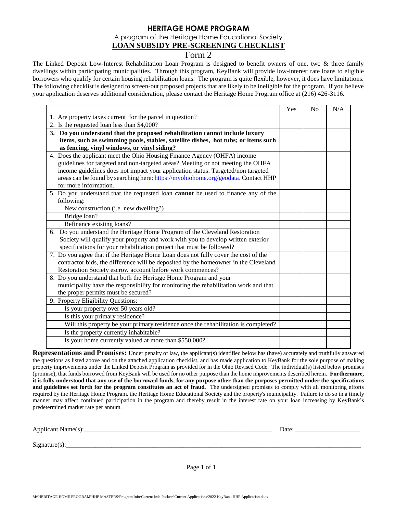A program of the Heritage Home Educational Society

#### **LOAN SUBSIDY PRE-SCREENING CHECKLIST**

# Form 2

The Linked Deposit Low-Interest Rehabilitation Loan Program is designed to benefit owners of one, two & three family dwellings within participating municipalities. Through this program, KeyBank will provide low-interest rate loans to eligible borrowers who qualify for certain housing rehabilitation loans. The program is quite flexible, however, it does have limitations. The following checklist is designed to screen-out proposed projects that are likely to be ineligible for the program. If you believe your application deserves additional consideration, please contact the Heritage Home Program office at (216) 426-3116.

|                                                                                          | Yes | N <sub>o</sub> | N/A |
|------------------------------------------------------------------------------------------|-----|----------------|-----|
| 1. Are property taxes current for the parcel in question?                                |     |                |     |
| 2. Is the requested loan less than \$4,000?                                              |     |                |     |
| 3. Do you understand that the proposed rehabilitation cannot include luxury              |     |                |     |
| items, such as swimming pools, stables, satellite dishes, hot tubs; or items such        |     |                |     |
| as fencing, vinyl windows, or vinyl siding?                                              |     |                |     |
| 4. Does the applicant meet the Ohio Housing Finance Agency (OHFA) income                 |     |                |     |
| guidelines for targeted and non-targeted areas? Meeting or not meeting the OHFA          |     |                |     |
| income guidelines does not impact your application status. Targeted/non targeted         |     |                |     |
| areas can be found by searching here: https://myohiohome.org/geodata. Contact HHP        |     |                |     |
| for more information.                                                                    |     |                |     |
| 5. Do you understand that the requested loan <b>cannot</b> be used to finance any of the |     |                |     |
| following:                                                                               |     |                |     |
| New construction (i.e. new dwelling?)                                                    |     |                |     |
| Bridge loan?                                                                             |     |                |     |
| Refinance existing loans?                                                                |     |                |     |
| 6. Do you understand the Heritage Home Program of the Cleveland Restoration              |     |                |     |
| Society will qualify your property and work with you to develop written exterior         |     |                |     |
| specifications for your rehabilitation project that must be followed?                    |     |                |     |
| 7. Do you agree that if the Heritage Home Loan does not fully cover the cost of the      |     |                |     |
| contractor bids, the difference will be deposited by the homeowner in the Cleveland      |     |                |     |
| Restoration Society escrow account before work commences?                                |     |                |     |
| 8. Do you understand that both the Heritage Home Program and your                        |     |                |     |
| municipality have the responsibility for monitoring the rehabilitation work and that     |     |                |     |
| the proper permits must be secured?                                                      |     |                |     |
| 9. Property Eligibility Questions:                                                       |     |                |     |
| Is your property over 50 years old?                                                      |     |                |     |
| Is this your primary residence?                                                          |     |                |     |
| Will this property be your primary residence once the rehabilitation is completed?       |     |                |     |
| Is the property currently inhabitable?                                                   |     |                |     |
| Is your home currently valued at more than \$550,000?                                    |     |                |     |
|                                                                                          |     |                |     |

**Representations and Promises:** Under penalty of law, the applicant(s) identified below has (have) accurately and truthfully answered the questions as listed above and on the attached application checklist, and has made application to KeyBank for the sole purpose of making property improvements under the Linked Deposit Program as provided for in the Ohio Revised Code. The individual(s) listed below promises (promise), that funds borrowed from KeyBank will be used for no other purpose than the home improvements described herein. **Furthermore, it is fully understood that any use of the borrowed funds, for any purpose other than the purposes permitted under the specifications and guidelines set forth for the program constitutes an act of fraud**. The undersigned promises to comply with all monitoring efforts required by the Heritage Home Program, the Heritage Home Educational Society and the property's municipality. Failure to do so in a timely manner may affect continued participation in the program and thereby result in the interest rate on your loan increasing by KeyBank's predetermined market rate per annum.

Applicant Name(s):\_\_\_\_\_\_\_\_\_\_\_\_\_\_\_\_\_\_\_\_\_\_\_\_\_\_\_\_\_\_\_\_\_\_\_\_\_\_\_\_\_\_\_\_\_\_\_\_\_\_\_\_\_\_\_\_\_\_ Date: \_\_\_\_\_\_\_\_\_\_\_\_\_\_\_\_\_\_\_\_

 $Signature(s):$ 

Page 1 of 1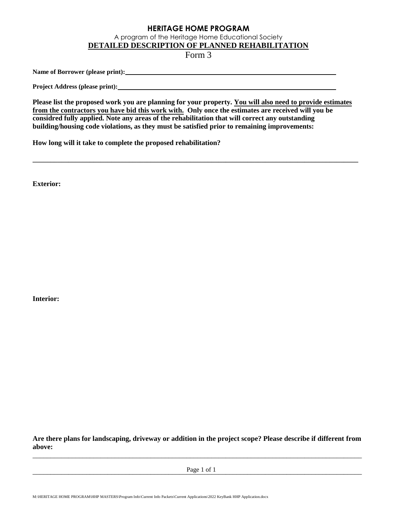A program of the Heritage Home Educational Society

**DETAILED DESCRIPTION OF PLANNED REHABILITATION** 

Form 3

**Name of Borrower (please print):** 

**Project Address (please print):** 

**Please list the proposed work you are planning for your property. You will also need to provide estimates from the contractors you have bid this work with. Only once the estimates are received will you be considred fully applied. Note any areas of the rehabilitation that will correct any outstanding building/housing code violations, as they must be satisfied prior to remaining improvements:** 

**\_\_\_\_\_\_\_\_\_\_\_\_\_\_\_\_\_\_\_\_\_\_\_\_\_\_\_\_\_\_\_\_\_\_\_\_\_\_\_\_\_\_\_\_\_\_\_\_\_\_\_\_\_\_\_\_\_\_\_\_\_\_\_\_\_\_\_\_\_\_\_\_\_\_\_\_\_\_\_\_\_\_\_\_\_\_\_\_\_\_\_** 

**How long will it take to complete the proposed rehabilitation?** 

**Exterior:**

**Interior:**

**Are there plans for landscaping, driveway or addition in the project scope? Please describe if different from above:**  \_\_\_\_\_\_\_\_\_\_\_\_\_\_\_\_\_\_\_\_\_\_\_\_\_\_\_\_\_\_\_\_\_\_\_\_\_\_\_\_\_\_\_\_\_\_\_\_\_\_\_\_\_\_\_\_\_\_\_\_\_\_\_\_\_\_\_\_\_\_\_\_\_\_\_\_\_\_\_\_\_\_\_\_\_\_\_\_\_\_\_\_

 $Page 1 of 1$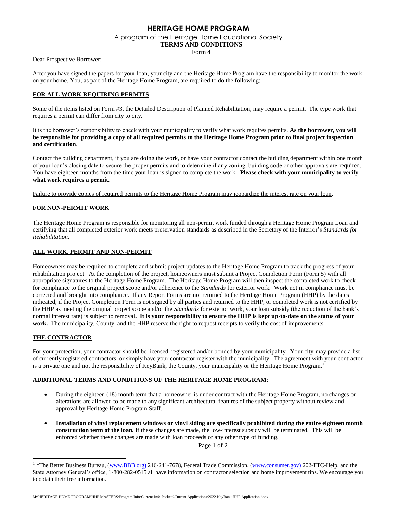A program of the Heritage Home Educational Society

#### **TERMS AND CONDITIONS**

Form 4

Dear Prospective Borrower:

After you have signed the papers for your loan, your city and the Heritage Home Program have the responsibility to monitor the work on your home. You, as part of the Heritage Home Program, are required to do the following:

#### **FOR ALL WORK REQUIRING PERMITS**

Some of the items listed on Form #3, the Detailed Description of Planned Rehabilitation, may require a permit. The type work that requires a permit can differ from city to city.

It is the borrower's responsibility to check with your municipality to verify what work requires permits. **As the borrower, you will be responsible for providing a copy of all required permits to the Heritage Home Program prior to final project inspection and certification**.

Contact the building department, if you are doing the work, or have your contractor contact the building department within one month of your loan's closing date to secure the proper permits and to determine if any zoning, building code or other approvals are required. You have eighteen months from the time your loan is signed to complete the work. **Please check with your municipality to verify what work requires a permit.** 

Failure to provide copies of required permits to the Heritage Home Program may jeopardize the interest rate on your loan.

#### **FOR NON-PERMIT WORK**

The Heritage Home Program is responsible for monitoring all non-permit work funded through a Heritage Home Program Loan and certifying that all completed exterior work meets preservation standards as described in the Secretary of the Interior's *Standards for Rehabilitation.*

#### **ALL WORK, PERMIT AND NON-PERMIT**

Homeowners may be required to complete and submit project updates to the Heritage Home Program to track the progress of your rehabilitation project. At the completion of the project, homeowners must submit a Project Completion Form (Form 5) with all appropriate signatures to the Heritage Home Program. The Heritage Home Program will then inspect the completed work to check for compliance to the original project scope and/or adherence to the *Standards* for exterior work*.* Work not in compliance must be corrected and brought into compliance. If any Report Forms are not returned to the Heritage Home Program (HHP) by the dates indicated, if the Project Completion Form is not signed by all parties and returned to the HHP, or completed work is not certified by the HHP as meeting the original project scope and/or the *Standards* for exterior work, your loan subsidy (the reduction of the bank's normal interest rate) is subject to removal**. It is your responsibility to ensure the HHP is kept up-to-date on the status of your work.** The municipality, County, and the HHP reserve the right to request receipts to verify the cost of improvements.

#### **THE CONTRACTOR**

For your protection, your contractor should be licensed, registered and/or bonded by your municipality. Your city may provide a list of currently registered contractors, or simply have your contractor register with the municipality. The agreement with your contractor is a private one and not the responsibility of KeyBank, the County, your municipality or the Heritage Home Program.<sup>1</sup>

#### **ADDITIONAL TERMS AND CONDITIONS OF THE HERITAGE HOME PROGRAM**:

- During the eighteen (18) month term that a homeowner is under contract with the Heritage Home Program, no changes or alterations are allowed to be made to any significant architectural features of the subject property without review and approval by Heritage Home Program Staff.
- **Installation of vinyl replacement windows or vinyl siding are specifically prohibited during the entire eighteen month construction term of the loan.** If these changes are made, the low-interest subsidy will be terminated. This will be enforced whether these changes are made with loan proceeds or any other type of funding.

Page 1 of 2

<sup>&</sup>lt;sup>1</sup> \*The Better Business Bureau, [\(www.BBB.org\)](http://www.bbb.org)/) 216-241-7678, Federal Trade Commission, [\(www.consumer.gov\)](http://www.consumer.gov)/) 202-FTC-Help, and the State Attorney General's office, 1-800-282-0515 all have information on contractor selection and home improvement tips. We encourage you to obtain their free information.